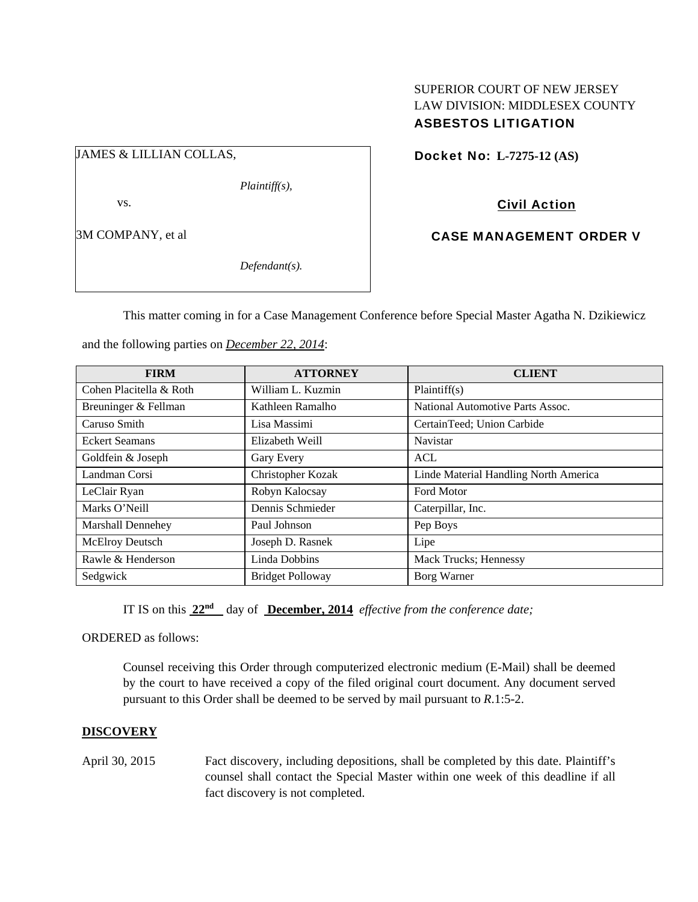### SUPERIOR COURT OF NEW JERSEY LAW DIVISION: MIDDLESEX COUNTY ASBESTOS LITIGATION

JAMES & LILLIAN COLLAS,

*Plaintiff(s),* 

vs.

3M COMPANY, et al

*Defendant(s).* 

Docket No: **L-7275-12 (AS)** 

Civil Action

CASE MANAGEMENT ORDER V

This matter coming in for a Case Management Conference before Special Master Agatha N. Dzikiewicz

| <b>FIRM</b>              | <b>ATTORNEY</b>         | <b>CLIENT</b>                         |
|--------------------------|-------------------------|---------------------------------------|
| Cohen Placitella & Roth  | William L. Kuzmin       | Plaintiff(s)                          |
| Breuninger & Fellman     | Kathleen Ramalho        | National Automotive Parts Assoc.      |
| Caruso Smith             | Lisa Massimi            | CertainTeed; Union Carbide            |
| <b>Eckert Seamans</b>    | Elizabeth Weill         | <b>Navistar</b>                       |
| Goldfein & Joseph        | Gary Every              | <b>ACL</b>                            |
| Landman Corsi            | Christopher Kozak       | Linde Material Handling North America |
| LeClair Ryan             | Robyn Kalocsay          | Ford Motor                            |
| Marks O'Neill            | Dennis Schmieder        | Caterpillar, Inc.                     |
| <b>Marshall Dennehey</b> | Paul Johnson            | Pep Boys                              |
| McElroy Deutsch          | Joseph D. Rasnek        | Lipe                                  |
| Rawle & Henderson        | Linda Dobbins           | Mack Trucks; Hennessy                 |
| Sedgwick                 | <b>Bridget Polloway</b> | Borg Warner                           |

and the following parties on *December 22, 2014*:

IT IS on this **22nd** day of **December, 2014** *effective from the conference date;*

ORDERED as follows:

Counsel receiving this Order through computerized electronic medium (E-Mail) shall be deemed by the court to have received a copy of the filed original court document. Any document served pursuant to this Order shall be deemed to be served by mail pursuant to *R*.1:5-2.

# **DISCOVERY**

April 30, 2015 Fact discovery, including depositions, shall be completed by this date. Plaintiff's counsel shall contact the Special Master within one week of this deadline if all fact discovery is not completed.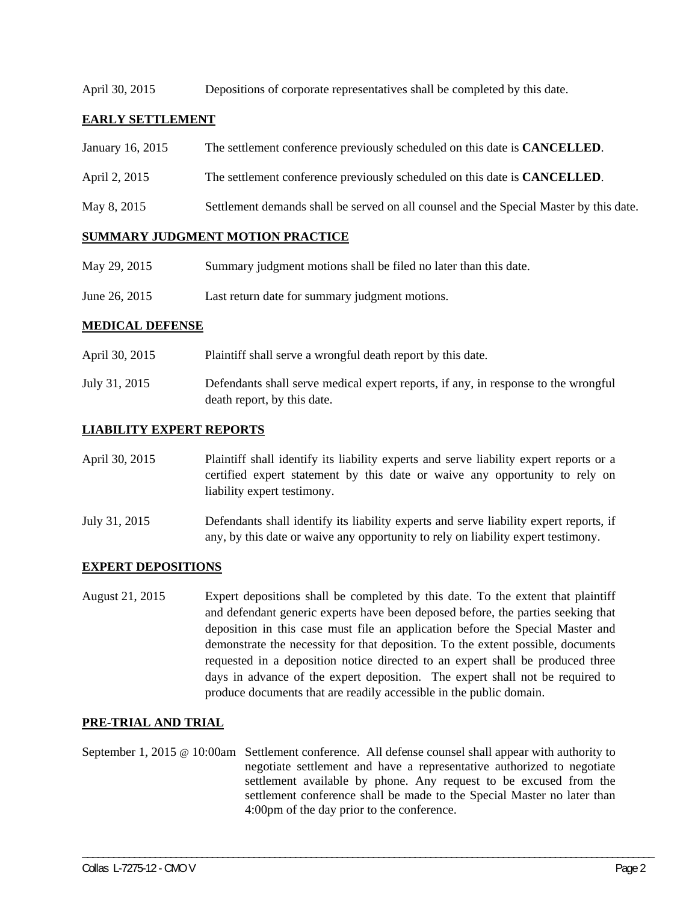April 30, 2015 Depositions of corporate representatives shall be completed by this date.

### **EARLY SETTLEMENT**

- January 16, 2015 The settlement conference previously scheduled on this date is **CANCELLED**.
- April 2, 2015 The settlement conference previously scheduled on this date is **CANCELLED**.
- May 8, 2015 Settlement demands shall be served on all counsel and the Special Master by this date.

#### **SUMMARY JUDGMENT MOTION PRACTICE**

- May 29, 2015 Summary judgment motions shall be filed no later than this date.
- June 26, 2015 Last return date for summary judgment motions.

#### **MEDICAL DEFENSE**

April 30, 2015 Plaintiff shall serve a wrongful death report by this date. July 31, 2015 Defendants shall serve medical expert reports, if any, in response to the wrongful death report, by this date.

#### **LIABILITY EXPERT REPORTS**

- April 30, 2015 Plaintiff shall identify its liability experts and serve liability expert reports or a certified expert statement by this date or waive any opportunity to rely on liability expert testimony.
- July 31, 2015 Defendants shall identify its liability experts and serve liability expert reports, if any, by this date or waive any opportunity to rely on liability expert testimony.

#### **EXPERT DEPOSITIONS**

August 21, 2015 Expert depositions shall be completed by this date. To the extent that plaintiff and defendant generic experts have been deposed before, the parties seeking that deposition in this case must file an application before the Special Master and demonstrate the necessity for that deposition. To the extent possible, documents requested in a deposition notice directed to an expert shall be produced three days in advance of the expert deposition. The expert shall not be required to produce documents that are readily accessible in the public domain.

#### **PRE-TRIAL AND TRIAL**

September 1, 2015 @ 10:00am Settlement conference. All defense counsel shall appear with authority to negotiate settlement and have a representative authorized to negotiate settlement available by phone. Any request to be excused from the settlement conference shall be made to the Special Master no later than 4:00pm of the day prior to the conference.

\_\_\_\_\_\_\_\_\_\_\_\_\_\_\_\_\_\_\_\_\_\_\_\_\_\_\_\_\_\_\_\_\_\_\_\_\_\_\_\_\_\_\_\_\_\_\_\_\_\_\_\_\_\_\_\_\_\_\_\_\_\_\_\_\_\_\_\_\_\_\_\_\_\_\_\_\_\_\_\_\_\_\_\_\_\_\_\_\_\_\_\_\_\_\_\_\_\_\_\_\_\_\_\_\_\_\_\_\_\_